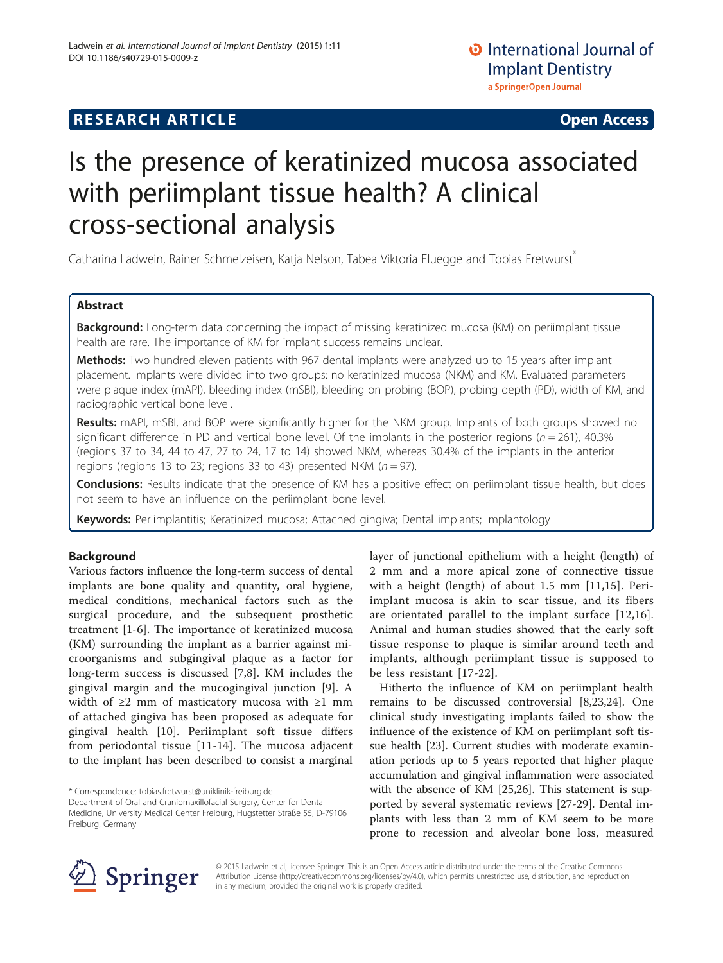# **RESEARCH ARTICLE Example 2014 CONSUMING A RESEARCH ARTICLE**

# Is the presence of keratinized mucosa associated with periimplant tissue health? A clinical cross-sectional analysis

Catharina Ladwein, Rainer Schmelzeisen, Katja Nelson, Tabea Viktoria Fluegge and Tobias Fretwurst\*

## Abstract

Background: Long-term data concerning the impact of missing keratinized mucosa (KM) on periimplant tissue health are rare. The importance of KM for implant success remains unclear.

Methods: Two hundred eleven patients with 967 dental implants were analyzed up to 15 years after implant placement. Implants were divided into two groups: no keratinized mucosa (NKM) and KM. Evaluated parameters were plaque index (mAPI), bleeding index (mSBI), bleeding on probing (BOP), probing depth (PD), width of KM, and radiographic vertical bone level.

Results: mAPI, mSBI, and BOP were significantly higher for the NKM group. Implants of both groups showed no significant difference in PD and vertical bone level. Of the implants in the posterior regions ( $n = 261$ ), 40.3% (regions 37 to 34, 44 to 47, 27 to 24, 17 to 14) showed NKM, whereas 30.4% of the implants in the anterior regions (regions 13 to 23; regions 33 to 43) presented NKM ( $n = 97$ ).

Conclusions: Results indicate that the presence of KM has a positive effect on periimplant tissue health, but does not seem to have an influence on the periimplant bone level.

Keywords: Periimplantitis; Keratinized mucosa; Attached gingiva; Dental implants; Implantology

## Background

Various factors influence the long-term success of dental implants are bone quality and quantity, oral hygiene, medical conditions, mechanical factors such as the surgical procedure, and the subsequent prosthetic treatment [\[1](#page-3-0)-[6\]](#page-3-0). The importance of keratinized mucosa (KM) surrounding the implant as a barrier against microorganisms and subgingival plaque as a factor for long-term success is discussed [[7,8](#page-3-0)]. KM includes the gingival margin and the mucogingival junction [\[9](#page-3-0)]. A width of ≥2 mm of masticatory mucosa with ≥1 mm of attached gingiva has been proposed as adequate for gingival health [\[10](#page-3-0)]. Periimplant soft tissue differs from periodontal tissue [\[11](#page-3-0)-[14\]](#page-3-0). The mucosa adjacent to the implant has been described to consist a marginal

layer of junctional epithelium with a height (length) of 2 mm and a more apical zone of connective tissue with a height (length) of about 1.5 mm [[11,15](#page-3-0)]. Periimplant mucosa is akin to scar tissue, and its fibers are orientated parallel to the implant surface [[12,16](#page-3-0)]. Animal and human studies showed that the early soft tissue response to plaque is similar around teeth and implants, although periimplant tissue is supposed to be less resistant [\[17-22](#page-4-0)].

Hitherto the influence of KM on periimplant health remains to be discussed controversial [[8,](#page-3-0)[23,24](#page-4-0)]. One clinical study investigating implants failed to show the influence of the existence of KM on periimplant soft tissue health [\[23\]](#page-4-0). Current studies with moderate examination periods up to 5 years reported that higher plaque accumulation and gingival inflammation were associated with the absence of KM [[25](#page-4-0),[26](#page-4-0)]. This statement is supported by several systematic reviews [[27-29\]](#page-4-0). Dental implants with less than 2 mm of KM seem to be more prone to recession and alveolar bone loss, measured



© 2015 Ladwein et al; licensee Springer. This is an Open Access article distributed under the terms of the Creative Commons Attribution License [\(http://creativecommons.org/licenses/by/4.0\)](http://creativecommons.org/licenses/by/4.0), which permits unrestricted use, distribution, and reproduction in any medium, provided the original work is properly credited.

<sup>\*</sup> Correspondence: [tobias.fretwurst@uniklinik-freiburg.de](mailto:tobias.fretwurst@uniklinik-freiburg.de)

Department of Oral and Craniomaxillofacial Surgery, Center for Dental Medicine, University Medical Center Freiburg, Hugstetter Straße 55, D-79106 Freiburg, Germany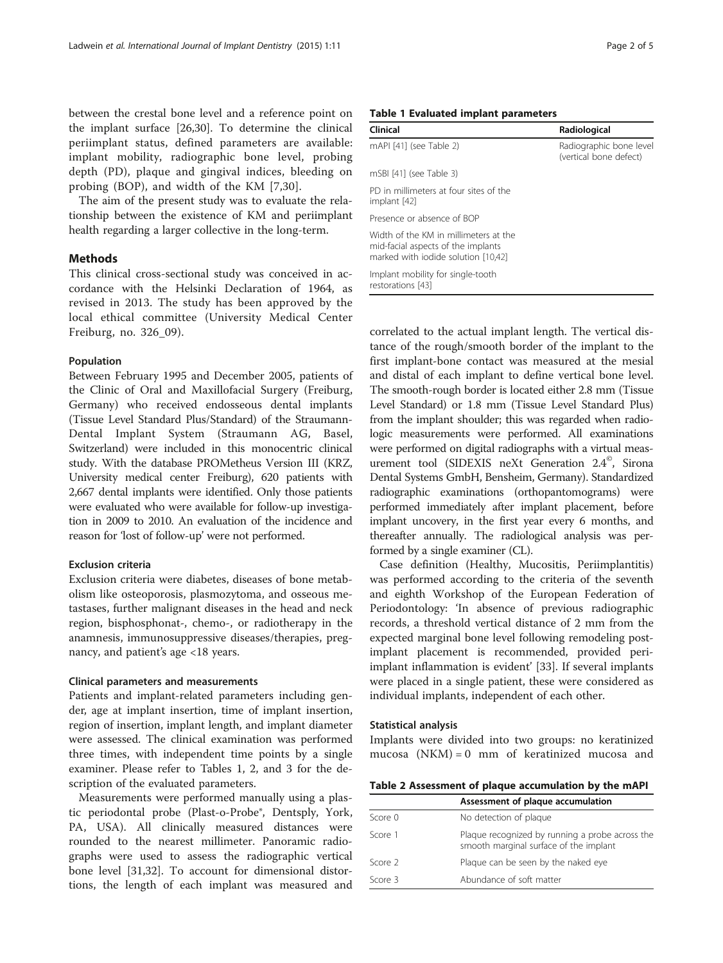between the crestal bone level and a reference point on the implant surface [\[26,30](#page-4-0)]. To determine the clinical periimplant status, defined parameters are available: implant mobility, radiographic bone level, probing depth (PD), plaque and gingival indices, bleeding on probing (BOP), and width of the KM [[7,](#page-3-0)[30](#page-4-0)].

The aim of the present study was to evaluate the relationship between the existence of KM and periimplant health regarding a larger collective in the long-term.

#### Methods

This clinical cross-sectional study was conceived in accordance with the Helsinki Declaration of 1964, as revised in 2013. The study has been approved by the local ethical committee (University Medical Center Freiburg, no. 326\_09).

#### Population

Between February 1995 and December 2005, patients of the Clinic of Oral and Maxillofacial Surgery (Freiburg, Germany) who received endosseous dental implants (Tissue Level Standard Plus/Standard) of the Straumann-Dental Implant System (Straumann AG, Basel, Switzerland) were included in this monocentric clinical study. With the database PROMetheus Version III (KRZ, University medical center Freiburg), 620 patients with 2,667 dental implants were identified. Only those patients were evaluated who were available for follow-up investigation in 2009 to 2010. An evaluation of the incidence and reason for 'lost of follow-up' were not performed.

#### Exclusion criteria

Exclusion criteria were diabetes, diseases of bone metabolism like osteoporosis, plasmozytoma, and osseous metastases, further malignant diseases in the head and neck region, bisphosphonat-, chemo-, or radiotherapy in the anamnesis, immunosuppressive diseases/therapies, pregnancy, and patient's age <18 years.

#### Clinical parameters and measurements

Patients and implant-related parameters including gender, age at implant insertion, time of implant insertion, region of insertion, implant length, and implant diameter were assessed. The clinical examination was performed three times, with independent time points by a single examiner. Please refer to Tables 1, 2, and [3](#page-2-0) for the description of the evaluated parameters.

Measurements were performed manually using a plastic periodontal probe (Plast-o-Probe®, Dentsply, York, PA, USA). All clinically measured distances were rounded to the nearest millimeter. Panoramic radiographs were used to assess the radiographic vertical bone level [[31,32\]](#page-4-0). To account for dimensional distortions, the length of each implant was measured and

#### Table 1 Evaluated implant parameters

| Clinical                                                                                                           | Radiological                                      |
|--------------------------------------------------------------------------------------------------------------------|---------------------------------------------------|
| mAPI [41] (see Table 2)                                                                                            | Radiographic bone level<br>(vertical bone defect) |
| mSBI [41] (see Table 3)                                                                                            |                                                   |
| PD in millimeters at four sites of the<br>implant [42]                                                             |                                                   |
| Presence or absence of BOP                                                                                         |                                                   |
| Width of the KM in millimeters at the<br>mid-facial aspects of the implants<br>marked with iodide solution [10,42] |                                                   |
| Implant mobility for single-tooth<br>restorations [43]                                                             |                                                   |

correlated to the actual implant length. The vertical distance of the rough/smooth border of the implant to the first implant-bone contact was measured at the mesial and distal of each implant to define vertical bone level. The smooth-rough border is located either 2.8 mm (Tissue Level Standard) or 1.8 mm (Tissue Level Standard Plus) from the implant shoulder; this was regarded when radiologic measurements were performed. All examinations were performed on digital radiographs with a virtual measurement tool (SIDEXIS neXt Generation 2.4<sup>©</sup>, Sirona Dental Systems GmbH, Bensheim, Germany). Standardized radiographic examinations (orthopantomograms) were performed immediately after implant placement, before implant uncovery, in the first year every 6 months, and thereafter annually. The radiological analysis was performed by a single examiner (CL).

Case definition (Healthy, Mucositis, Periimplantitis) was performed according to the criteria of the seventh and eighth Workshop of the European Federation of Periodontology: 'In absence of previous radiographic records, a threshold vertical distance of 2 mm from the expected marginal bone level following remodeling postimplant placement is recommended, provided periimplant inflammation is evident' [[33\]](#page-4-0). If several implants were placed in a single patient, these were considered as individual implants, independent of each other.

#### Statistical analysis

Implants were divided into two groups: no keratinized mucosa (NKM) = 0 mm of keratinized mucosa and

Table 2 Assessment of plaque accumulation by the mAPI

|         | Assessment of plaque accumulation                                                         |  |  |  |
|---------|-------------------------------------------------------------------------------------------|--|--|--|
| Score 0 | No detection of plaque                                                                    |  |  |  |
| Score 1 | Plaque recognized by running a probe across the<br>smooth marginal surface of the implant |  |  |  |
| Score 2 | Plaque can be seen by the naked eye                                                       |  |  |  |
| Score 3 | Abundance of soft matter                                                                  |  |  |  |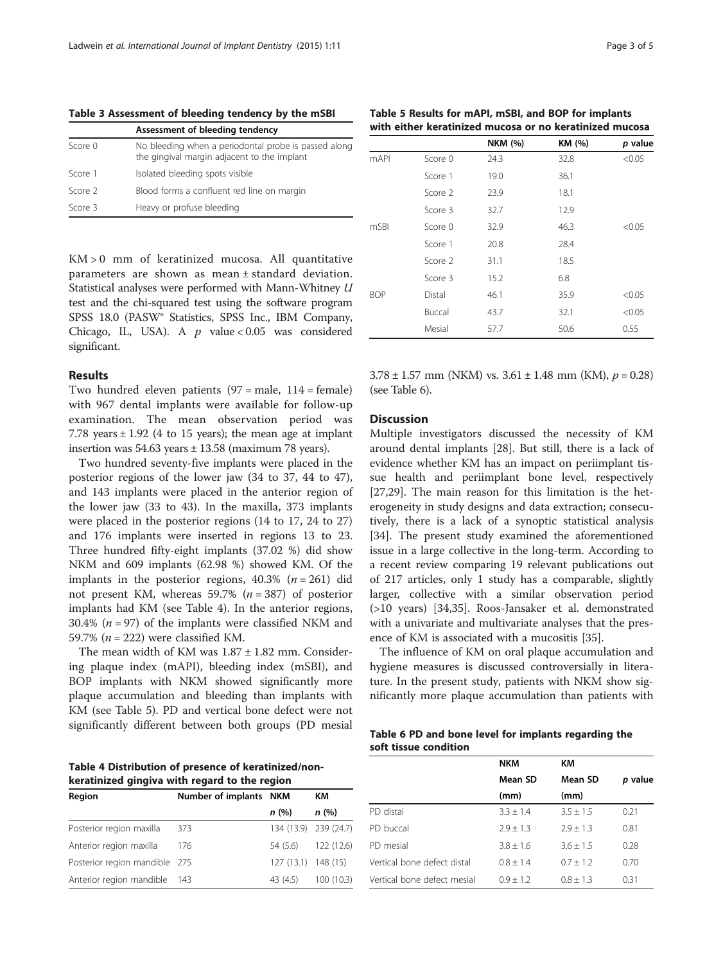<span id="page-2-0"></span>Table 3 Assessment of bleeding tendency by the mSBI

|         | Assessment of bleeding tendency                                                                     |
|---------|-----------------------------------------------------------------------------------------------------|
| Score 0 | No bleeding when a periodontal probe is passed along<br>the gingival margin adjacent to the implant |
| Score 1 | Isolated bleeding spots visible                                                                     |
| Score 2 | Blood forms a confluent red line on margin                                                          |
| Score 3 | Heavy or profuse bleeding                                                                           |

KM > 0 mm of keratinized mucosa. All quantitative parameters are shown as mean ± standard deviation. Statistical analyses were performed with Mann-Whitney U test and the chi-squared test using the software program SPSS 18.0 (PASW® Statistics, SPSS Inc., IBM Company, Chicago, IL, USA). A  $p$  value < 0.05 was considered significant.

#### Results

Two hundred eleven patients  $(97 = \text{male}, 114 = \text{female})$ with 967 dental implants were available for follow-up examination. The mean observation period was 7.78 years  $\pm$  1.92 (4 to 15 years); the mean age at implant insertion was  $54.63$  years  $\pm$  13.58 (maximum 78 years).

Two hundred seventy-five implants were placed in the posterior regions of the lower jaw (34 to 37, 44 to 47), and 143 implants were placed in the anterior region of the lower jaw (33 to 43). In the maxilla, 373 implants were placed in the posterior regions (14 to 17, 24 to 27) and 176 implants were inserted in regions 13 to 23. Three hundred fifty-eight implants (37.02 %) did show NKM and 609 implants (62.98 %) showed KM. Of the implants in the posterior regions,  $40.3\%$  ( $n = 261$ ) did not present KM, whereas 59.7% ( $n = 387$ ) of posterior implants had KM (see Table 4). In the anterior regions, 30.4% ( $n = 97$ ) of the implants were classified NKM and 59.7% ( $n = 222$ ) were classified KM.

The mean width of KM was  $1.87 \pm 1.82$  mm. Considering plaque index (mAPI), bleeding index (mSBI), and BOP implants with NKM showed significantly more plaque accumulation and bleeding than implants with KM (see Table 5). PD and vertical bone defect were not significantly different between both groups (PD mesial

Table 4 Distribution of presence of keratinized/nonkeratinized gingiva with regard to the region

| werdenneed gingtva wien regard to ene region |                        |                     |                       |  |  |  |  |
|----------------------------------------------|------------------------|---------------------|-----------------------|--|--|--|--|
| Region                                       | Number of implants NKM |                     | КM                    |  |  |  |  |
|                                              |                        | n(%)                | n(%)                  |  |  |  |  |
| Posterior region maxilla                     | 373                    |                     | 134 (13.9) 239 (24.7) |  |  |  |  |
| Anterior region maxilla                      | 176                    | 54 (5.6)            | 122 (12.6)            |  |  |  |  |
| Posterior region mandible 275                |                        | 127 (13.1) 148 (15) |                       |  |  |  |  |
| Anterior region mandible                     | - 143                  | 43 (4.5)            | 100(10.3)             |  |  |  |  |

Table 5 Results for mAPI, mSBI, and BOP for implants with either keratinized mucosa or no keratinized mucosa

|             |                    | <b>NKM (%)</b> | KM (%) | p value |
|-------------|--------------------|----------------|--------|---------|
| <b>mAPI</b> | Score 0            | 24.3           | 32.8   | < 0.05  |
|             | Score 1            | 19.0           | 36.1   |         |
|             | Score 2            | 23.9           | 18.1   |         |
|             | Score 3            | 32.7           | 12.9   |         |
| mSBI        | Score <sub>0</sub> | 32.9           | 46.3   | < 0.05  |
|             | Score 1            | 20.8           | 28.4   |         |
|             | Score 2            | 31.1           | 18.5   |         |
|             | Score 3            | 15.2           | 6.8    |         |
| <b>BOP</b>  | Distal             | 46.1           | 35.9   | < 0.05  |
|             | Buccal             | 43.7           | 32.1   | < 0.05  |
|             | Mesial             | 57.7           | 50.6   | 0.55    |

 $3.78 \pm 1.57$  mm (NKM) vs.  $3.61 \pm 1.48$  mm (KM),  $p = 0.28$ ) (see Table 6).

#### **Discussion**

Multiple investigators discussed the necessity of KM around dental implants [\[28](#page-4-0)]. But still, there is a lack of evidence whether KM has an impact on periimplant tissue health and periimplant bone level, respectively [[27,29\]](#page-4-0). The main reason for this limitation is the heterogeneity in study designs and data extraction; consecutively, there is a lack of a synoptic statistical analysis [[34\]](#page-4-0). The present study examined the aforementioned issue in a large collective in the long-term. According to a recent review comparing 19 relevant publications out of 217 articles, only 1 study has a comparable, slightly larger, collective with a similar observation period (>10 years) [\[34,35](#page-4-0)]. Roos-Jansaker et al. demonstrated with a univariate and multivariate analyses that the presence of KM is associated with a mucositis [\[35](#page-4-0)].

The influence of KM on oral plaque accumulation and hygiene measures is discussed controversially in literature. In the present study, patients with NKM show significantly more plaque accumulation than patients with

|  |  |                       |  | Table 6 PD and bone level for implants regarding the |  |
|--|--|-----------------------|--|------------------------------------------------------|--|
|  |  | soft tissue condition |  |                                                      |  |

|                             | <b>NKM</b>  | KM          |         |
|-----------------------------|-------------|-------------|---------|
|                             | Mean SD     | Mean SD     | p value |
|                             | (mm)        | (mm)        |         |
| PD distal                   | $3.3 + 1.4$ | $3.5 + 1.5$ | 0.21    |
| PD buccal                   | $2.9 + 1.3$ | $7.9 + 1.3$ | 0.81    |
| PD mesial                   | $3.8 + 1.6$ | $3.6 + 1.5$ | 0.28    |
| Vertical bone defect distal | $0.8 + 1.4$ | $0.7 + 1.2$ | 0.70    |
| Vertical bone defect mesial | $0.9 + 1.2$ | $0.8 + 1.3$ | 0.31    |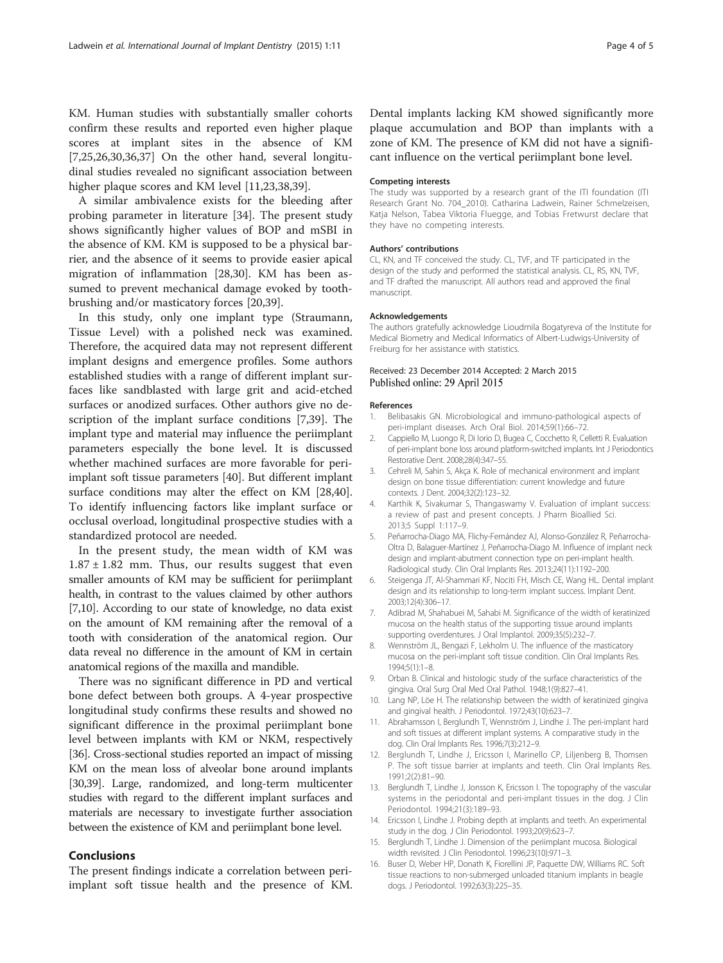<span id="page-3-0"></span>KM. Human studies with substantially smaller cohorts confirm these results and reported even higher plaque scores at implant sites in the absence of KM [7,[25,26,30,36,37\]](#page-4-0) On the other hand, several longitudinal studies revealed no significant association between higher plaque scores and KM level [11,[23,38,39\]](#page-4-0).

A similar ambivalence exists for the bleeding after probing parameter in literature [[34\]](#page-4-0). The present study shows significantly higher values of BOP and mSBI in the absence of KM. KM is supposed to be a physical barrier, and the absence of it seems to provide easier apical migration of inflammation [[28,30\]](#page-4-0). KM has been assumed to prevent mechanical damage evoked by toothbrushing and/or masticatory forces [\[20,39](#page-4-0)].

In this study, only one implant type (Straumann, Tissue Level) with a polished neck was examined. Therefore, the acquired data may not represent different implant designs and emergence profiles. Some authors established studies with a range of different implant surfaces like sandblasted with large grit and acid-etched surfaces or anodized surfaces. Other authors give no description of the implant surface conditions [7,[39](#page-4-0)]. The implant type and material may influence the periimplant parameters especially the bone level. It is discussed whether machined surfaces are more favorable for periimplant soft tissue parameters [\[40](#page-4-0)]. But different implant surface conditions may alter the effect on KM [\[28,40](#page-4-0)]. To identify influencing factors like implant surface or occlusal overload, longitudinal prospective studies with a standardized protocol are needed.

In the present study, the mean width of KM was  $1.87 \pm 1.82$  mm. Thus, our results suggest that even smaller amounts of KM may be sufficient for periimplant health, in contrast to the values claimed by other authors [7,10]. According to our state of knowledge, no data exist on the amount of KM remaining after the removal of a tooth with consideration of the anatomical region. Our data reveal no difference in the amount of KM in certain anatomical regions of the maxilla and mandible.

There was no significant difference in PD and vertical bone defect between both groups. A 4-year prospective longitudinal study confirms these results and showed no significant difference in the proximal periimplant bone level between implants with KM or NKM, respectively [[36](#page-4-0)]. Cross-sectional studies reported an impact of missing KM on the mean loss of alveolar bone around implants [[30,39\]](#page-4-0). Large, randomized, and long-term multicenter studies with regard to the different implant surfaces and materials are necessary to investigate further association between the existence of KM and periimplant bone level.

#### Conclusions

The present findings indicate a correlation between periimplant soft tissue health and the presence of KM. Dental implants lacking KM showed significantly more plaque accumulation and BOP than implants with a zone of KM. The presence of KM did not have a significant influence on the vertical periimplant bone level.

#### Competing interests

The study was supported by a research grant of the ITI foundation (ITI Research Grant No. 704\_2010). Catharina Ladwein, Rainer Schmelzeisen, Katja Nelson, Tabea Viktoria Fluegge, and Tobias Fretwurst declare that they have no competing interests.

#### Authors' contributions

CL, KN, and TF conceived the study. CL, TVF, and TF participated in the design of the study and performed the statistical analysis. CL, RS, KN, TVF, and TF drafted the manuscript. All authors read and approved the final manuscript.

#### Acknowledgements

The authors gratefully acknowledge Lioudmila Bogatyreva of the Institute for Medical Biometry and Medical Informatics of Albert-Ludwigs-University of Freiburg for her assistance with statistics.

#### Received: 23 December 2014 Accepted: 2 March 2015 Published online: 29 April 2015

#### References

- Belibasakis GN. Microbiological and immuno-pathological aspects of peri-implant diseases. Arch Oral Biol. 2014;59(1):66–72.
- 2. Cappiello M, Luongo R, Di Iorio D, Bugea C, Cocchetto R, Celletti R. Evaluation of peri-implant bone loss around platform-switched implants. Int J Periodontics Restorative Dent. 2008;28(4):347–55.
- 3. Cehreli M, Sahin S, Akça K. Role of mechanical environment and implant design on bone tissue differentiation: current knowledge and future contexts. J Dent. 2004;32(2):123–32.
- 4. Karthik K, Sivakumar S, Thangaswamy V. Evaluation of implant success: a review of past and present concepts. J Pharm Bioallied Sci. 2013;5 Suppl 1:117–9.
- 5. Peñarrocha-Diago MA, Flichy-Fernández AJ, Alonso-González R, Peñarrocha-Oltra D, Balaguer-Martínez J, Peñarrocha-Diago M. Influence of implant neck design and implant-abutment connection type on peri-implant health. Radiological study. Clin Oral Implants Res. 2013;24(11):1192–200.
- 6. Steigenga JT, Al-Shammari KF, Nociti FH, Misch CE, Wang HL. Dental implant design and its relationship to long-term implant success. Implant Dent. 2003;12(4):306–17.
- 7. Adibrad M, Shahabuei M, Sahabi M. Significance of the width of keratinized mucosa on the health status of the supporting tissue around implants supporting overdentures. J Oral Implantol. 2009;35(5):232–7.
- 8. Wennström JL, Bengazi F, Lekholm U. The influence of the masticatory mucosa on the peri-implant soft tissue condition. Clin Oral Implants Res. 1994;5(1):1–8.
- 9. Orban B. Clinical and histologic study of the surface characteristics of the gingiva. Oral Surg Oral Med Oral Pathol. 1948;1(9):827–41.
- 10. Lang NP, Löe H. The relationship between the width of keratinized gingiva and gingival health. J Periodontol. 1972;43(10):623–7.
- 11. Abrahamsson I, Berglundh T, Wennström J, Lindhe J. The peri-implant hard and soft tissues at different implant systems. A comparative study in the dog. Clin Oral Implants Res. 1996;7(3):212–9.
- 12. Berglundh T, Lindhe J, Ericsson I, Marinello CP, Liljenberg B, Thomsen P. The soft tissue barrier at implants and teeth. Clin Oral Implants Res. 1991;2(2):81–90.
- 13. Berglundh T, Lindhe J, Jonsson K, Ericsson I. The topography of the vascular systems in the periodontal and peri-implant tissues in the dog. J Clin Periodontol. 1994;21(3):189–93.
- 14. Ericsson I, Lindhe J. Probing depth at implants and teeth. An experimental study in the dog. J Clin Periodontol. 1993;20(9):623–7.
- 15. Berglundh T, Lindhe J. Dimension of the periimplant mucosa. Biological width revisited. J Clin Periodontol. 1996;23(10):971–3.
- 16. Buser D, Weber HP, Donath K, Fiorellini JP, Paquette DW, Williams RC. Soft tissue reactions to non-submerged unloaded titanium implants in beagle dogs. J Periodontol. 1992;63(3):225–35.